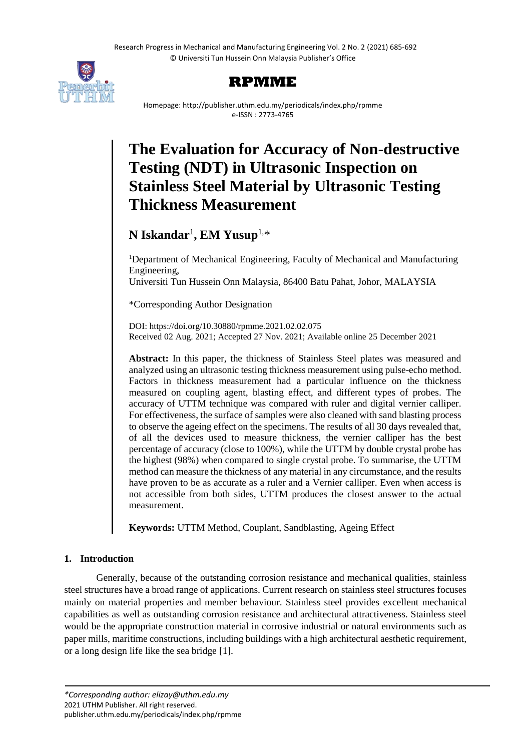

## **RPMME**

Homepage: http://publisher.uthm.edu.my/periodicals/index.php/rpmme e-ISSN : 2773-4765

# **The Evaluation for Accuracy of Non-destructive Testing (NDT) in Ultrasonic Inspection on Stainless Steel Material by Ultrasonic Testing Thickness Measurement**

## **N Iskandar**<sup>1</sup> **, EM Yusup**1,\*

<sup>1</sup>Department of Mechanical Engineering, Faculty of Mechanical and Manufacturing Engineering, Universiti Tun Hussein Onn Malaysia, 86400 Batu Pahat, Johor, MALAYSIA

\*Corresponding Author Designation

DOI: https://doi.org/10.30880/rpmme.2021.02.02.075 Received 02 Aug. 2021; Accepted 27 Nov. 2021; Available online 25 December 2021

**Abstract:** In this paper, the thickness of Stainless Steel plates was measured and analyzed using an ultrasonic testing thickness measurement using pulse-echo method. Factors in thickness measurement had a particular influence on the thickness measured on coupling agent, blasting effect, and different types of probes. The accuracy of UTTM technique was compared with ruler and digital vernier calliper. For effectiveness, the surface of samples were also cleaned with sand blasting process to observe the ageing effect on the specimens. The results of all 30 days revealed that, of all the devices used to measure thickness, the vernier calliper has the best percentage of accuracy (close to 100%), while the UTTM by double crystal probe has the highest (98%) when compared to single crystal probe. To summarise, the UTTM method can measure the thickness of any material in any circumstance, and the results have proven to be as accurate as a ruler and a Vernier calliper. Even when access is not accessible from both sides, UTTM produces the closest answer to the actual measurement.

**Keywords:** UTTM Method, Couplant, Sandblasting, Ageing Effect

### **1. Introduction**

Generally, because of the outstanding corrosion resistance and mechanical qualities, stainless steel structures have a broad range of applications. Current research on stainless steel structures focuses mainly on material properties and member behaviour. Stainless steel provides excellent mechanical capabilities as well as outstanding corrosion resistance and architectural attractiveness. Stainless steel would be the appropriate construction material in corrosive industrial or natural environments such as paper mills, maritime constructions, including buildings with a high architectural aesthetic requirement, or a long design life like the sea bridge [1].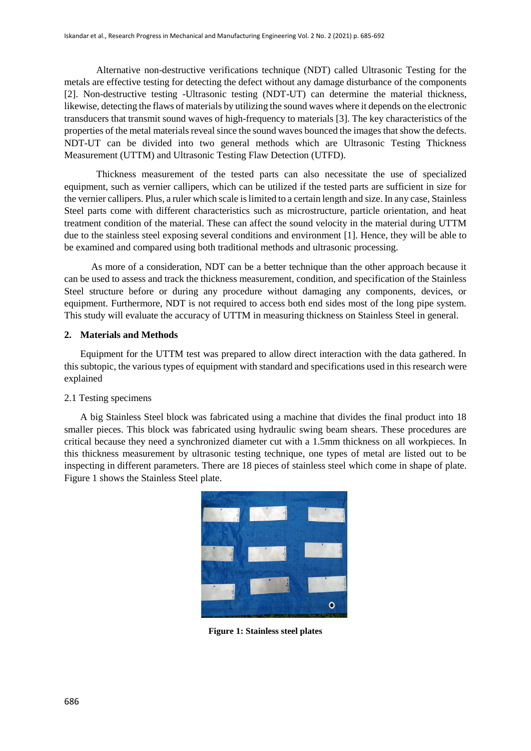Alternative non-destructive verifications technique (NDT) called Ultrasonic Testing for the metals are effective testing for detecting the defect without any damage disturbance of the components [2]. Non-destructive testing -Ultrasonic testing (NDT-UT) can determine the material thickness, likewise, detecting the flaws of materials by utilizing the sound waves where it depends on the electronic transducers that transmit sound waves of high-frequency to materials [3]. The key characteristics of the properties of the metal materials reveal since the sound waves bounced the images that show the defects. NDT-UT can be divided into two general methods which are Ultrasonic Testing Thickness Measurement (UTTM) and Ultrasonic Testing Flaw Detection (UTFD).

Thickness measurement of the tested parts can also necessitate the use of specialized equipment, such as vernier callipers, which can be utilized if the tested parts are sufficient in size for the vernier callipers. Plus, a ruler which scale is limited to a certain length and size. In any case, Stainless Steel parts come with different characteristics such as microstructure, particle orientation, and heat treatment condition of the material. These can affect the sound velocity in the material during UTTM due to the stainless steel exposing several conditions and environment [1]. Hence, they will be able to be examined and compared using both traditional methods and ultrasonic processing.

 As more of a consideration, NDT can be a better technique than the other approach because it can be used to assess and track the thickness measurement, condition, and specification of the Stainless Steel structure before or during any procedure without damaging any components, devices, or equipment. Furthermore, NDT is not required to access both end sides most of the long pipe system. This study will evaluate the accuracy of UTTM in measuring thickness on Stainless Steel in general.

#### **2. Materials and Methods**

Equipment for the UTTM test was prepared to allow direct interaction with the data gathered. In this subtopic, the various types of equipment with standard and specifications used in this research were explained

#### 2.1 Testing specimens

A big Stainless Steel block was fabricated using a machine that divides the final product into 18 smaller pieces. This block was fabricated using hydraulic swing beam shears. These procedures are critical because they need a synchronized diameter cut with a 1.5mm thickness on all workpieces. In this thickness measurement by ultrasonic testing technique, one types of metal are listed out to be inspecting in different parameters. There are 18 pieces of stainless steel which come in shape of plate. Figure 1 shows the Stainless Steel plate.



**Figure 1: Stainless steel plates**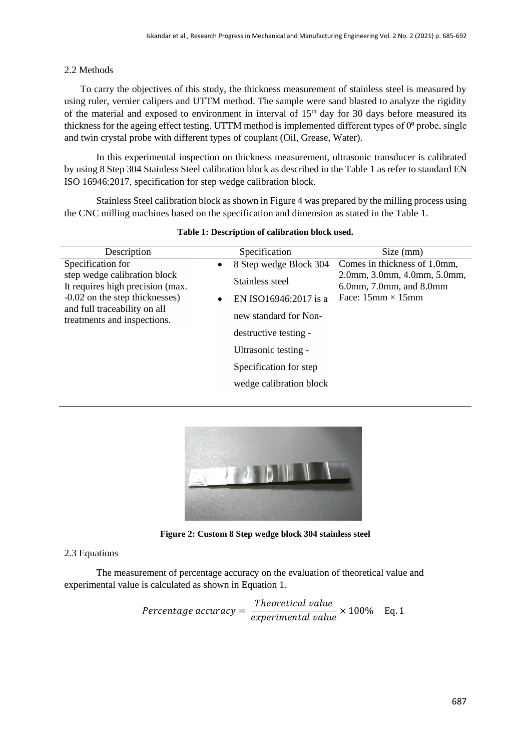#### 2.2 Methods

To carry the objectives of this study, the thickness measurement of stainless steel is measured by using ruler, vernier calipers and UTTM method. The sample were sand blasted to analyze the rigidity of the material and exposed to environment in interval of  $15<sup>th</sup>$  day for 30 days before measured its thickness for the ageing effect testing. UTTM method is implemented different types of  $0^{\circ}$  probe, single and twin crystal probe with different types of couplant (Oil, Grease, Water).

In this experimental inspection on thickness measurement, ultrasonic transducer is calibrated by using 8 Step 304 Stainless Steel calibration block as described in the Table 1 as refer to standard EN ISO 16946:2017, specification for step wedge calibration block.

Stainless Steel calibration block as shown in Figure 4 was prepared by the milling process using the CNC milling machines based on the specification and dimension as stated in the Table 1.

| Description                                                                                                                                                                            | Specification                                                                                                                                             | Size (mm)                                                                                                                                   |
|----------------------------------------------------------------------------------------------------------------------------------------------------------------------------------------|-----------------------------------------------------------------------------------------------------------------------------------------------------------|---------------------------------------------------------------------------------------------------------------------------------------------|
| Specification for<br>step wedge calibration block<br>It requires high precision (max.<br>-0.02 on the step thicknesses)<br>and full traceability on all<br>treatments and inspections. | 8 Step wedge Block 304<br>$\bullet$<br>Stainless steel<br>EN ISO16946:2017 is a<br>new standard for Non-<br>destructive testing -<br>Ultrasonic testing - | Comes in thickness of 1.0mm,<br>2.0mm, 3.0mm, 4.0mm, 5.0mm,<br>$6.0$ mm, $7.0$ mm, and $8.0$ mm<br>Face: $15 \text{mm} \times 15 \text{mm}$ |
|                                                                                                                                                                                        | Specification for step.<br>wedge calibration block                                                                                                        |                                                                                                                                             |
|                                                                                                                                                                                        |                                                                                                                                                           |                                                                                                                                             |

**Table 1: Description of calibration block used.**



**Figure 2: Custom 8 Step wedge block 304 stainless steel**

#### 2.3 Equations

The measurement of percentage accuracy on the evaluation of theoretical value and experimental value is calculated as shown in Equation 1.

$$
Percentage accuracy = \frac{Theoretical value}{experimental value} \times 100\% \quad \text{Eq. 1}
$$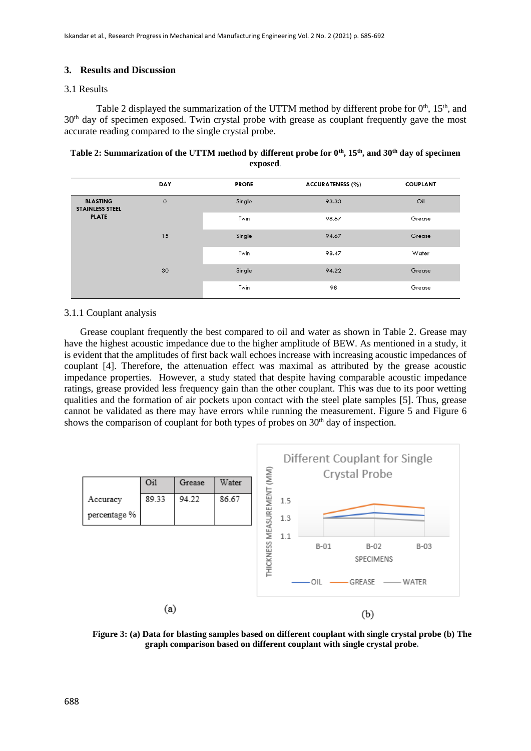#### **3. Results and Discussion**

#### 3.1 Results

Table 2 displayed the summarization of the UTTM method by different probe for  $0<sup>th</sup>$ ,  $15<sup>th</sup>$ , and 30<sup>th</sup> day of specimen exposed. Twin crystal probe with grease as couplant frequently gave the most accurate reading compared to the single crystal probe.

**Table 2: Summarization of the UTTM method by different probe for 0th, 15th, and 30th day of specimen exposed***.* 

|                                           | DAY     | <b>PROBE</b> | <b>ACCURATENESS (%)</b> | <b>COUPLANT</b> |
|-------------------------------------------|---------|--------------|-------------------------|-----------------|
| <b>BLASTING</b><br><b>STAINLESS STEEL</b> | $\circ$ | Single       | 93.33                   | Oil             |
| <b>PLATE</b>                              |         | Twin         | 98.67                   | Grease          |
|                                           | 15      | Single       | 94.67                   | Grease          |
|                                           |         | Twin         | 98.47                   | Water           |
|                                           | 30      | Single       | 94.22                   | Grease          |
|                                           |         | Twin         | 98                      | Grease          |

#### 3.1.1 Couplant analysis

Grease couplant frequently the best compared to oil and water as shown in Table 2. Grease may have the highest acoustic impedance due to the higher amplitude of BEW. As mentioned in a study, it is evident that the amplitudes of first back wall echoes increase with increasing acoustic impedances of couplant [4]. Therefore, the attenuation effect was maximal as attributed by the grease acoustic impedance properties. However, a study stated that despite having comparable acoustic impedance ratings, grease provided less frequency gain than the other couplant. This was due to its poor wetting qualities and the formation of air pockets upon contact with the steel plate samples [5]. Thus, grease cannot be validated as there may have errors while running the measurement. Figure 5 and Figure 6 shows the comparison of couplant for both types of probes on  $30<sup>th</sup>$  day of inspection.



**Figure 3: (a) Data for blasting samples based on different couplant with single crystal probe (b) The graph comparison based on different couplant with single crystal probe***.*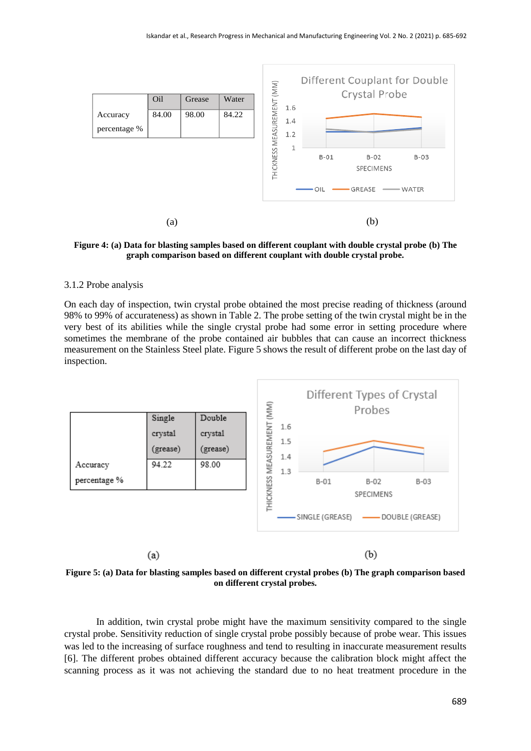

**Figure 4: (a) Data for blasting samples based on different couplant with double crystal probe (b) The graph comparison based on different couplant with double crystal probe.**

#### 3.1.2 Probe analysis

On each day of inspection, twin crystal probe obtained the most precise reading of thickness (around 98% to 99% of accurateness) as shown in Table 2. The probe setting of the twin crystal might be in the very best of its abilities while the single crystal probe had some error in setting procedure where sometimes the membrane of the probe contained air bubbles that can cause an incorrect thickness measurement on the Stainless Steel plate. Figure 5 shows the result of different probe on the last day of inspection.



**Figure 5: (a) Data for blasting samples based on different crystal probes (b) The graph comparison based on different crystal probes.**

In addition, twin crystal probe might have the maximum sensitivity compared to the single crystal probe. Sensitivity reduction of single crystal probe possibly because of probe wear. This issues was led to the increasing of surface roughness and tend to resulting in inaccurate measurement results [6]. The different probes obtained different accuracy because the calibration block might affect the scanning process as it was not achieving the standard due to no heat treatment procedure in the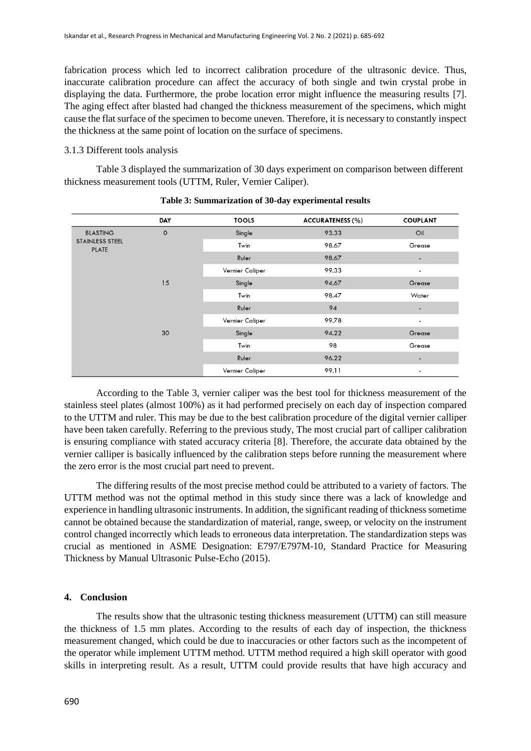fabrication process which led to incorrect calibration procedure of the ultrasonic device. Thus, inaccurate calibration procedure can affect the accuracy of both single and twin crystal probe in displaying the data. Furthermore, the probe location error might influence the measuring results [7]. The aging effect after blasted had changed the thickness measurement of the specimens, which might cause the flat surface of the specimen to become uneven. Therefore, it is necessary to constantly inspect the thickness at the same point of location on the surface of specimens.

#### 3.1.3 Different tools analysis

Table 3 displayed the summarization of 30 days experiment on comparison between different thickness measurement tools (UTTM, Ruler, Vernier Caliper).

|                                                           | <b>DAY</b>          | <b>TOOLS</b>    | <b>ACCURATENESS (%)</b> | <b>COUPLANT</b>          |
|-----------------------------------------------------------|---------------------|-----------------|-------------------------|--------------------------|
| <b>BLASTING</b><br><b>STAINLESS STEEL</b><br><b>PLATE</b> | $\mathsf{O}\xspace$ | Single          | 93.33                   | Oil                      |
|                                                           |                     | Twin            | 98.67                   | Grease                   |
|                                                           |                     | Ruler           | 98.67                   |                          |
|                                                           |                     | Vernier Caliper | 99.33                   | $\overline{\phantom{a}}$ |
|                                                           | 15                  | Single          | 94.67                   | Grease                   |
|                                                           |                     | Twin            | 98.47                   | Water                    |
|                                                           |                     | Ruler           | 94                      |                          |
|                                                           |                     | Vernier Caliper | 99.78                   | $\blacksquare$           |
|                                                           | 30                  | Single          | 94.22                   | Grease                   |
|                                                           |                     | Twin            | 98                      | Grease                   |
|                                                           |                     | Ruler           | 96.22                   | $\overline{\phantom{a}}$ |
|                                                           |                     | Vernier Caliper | 99.11                   | $\overline{\phantom{a}}$ |

| Table 3: Summarization of 30-day experimental results |  |  |
|-------------------------------------------------------|--|--|
|-------------------------------------------------------|--|--|

According to the Table 3, vernier caliper was the best tool for thickness measurement of the stainless steel plates (almost 100%) as it had performed precisely on each day of inspection compared to the UTTM and ruler. This may be due to the best calibration procedure of the digital vernier calliper have been taken carefully. Referring to the previous study, The most crucial part of calliper calibration is ensuring compliance with stated accuracy criteria [8]. Therefore, the accurate data obtained by the vernier calliper is basically influenced by the calibration steps before running the measurement where the zero error is the most crucial part need to prevent.

The differing results of the most precise method could be attributed to a variety of factors. The UTTM method was not the optimal method in this study since there was a lack of knowledge and experience in handling ultrasonic instruments. In addition, the significant reading of thickness sometime cannot be obtained because the standardization of material, range, sweep, or velocity on the instrument control changed incorrectly which leads to erroneous data interpretation. The standardization steps was crucial as mentioned in ASME Designation: E797/E797M-10, Standard Practice for Measuring Thickness by Manual Ultrasonic Pulse-Echo (2015).

#### **4. Conclusion**

The results show that the ultrasonic testing thickness measurement (UTTM) can still measure the thickness of 1.5 mm plates. According to the results of each day of inspection, the thickness measurement changed, which could be due to inaccuracies or other factors such as the incompetent of the operator while implement UTTM method. UTTM method required a high skill operator with good skills in interpreting result. As a result, UTTM could provide results that have high accuracy and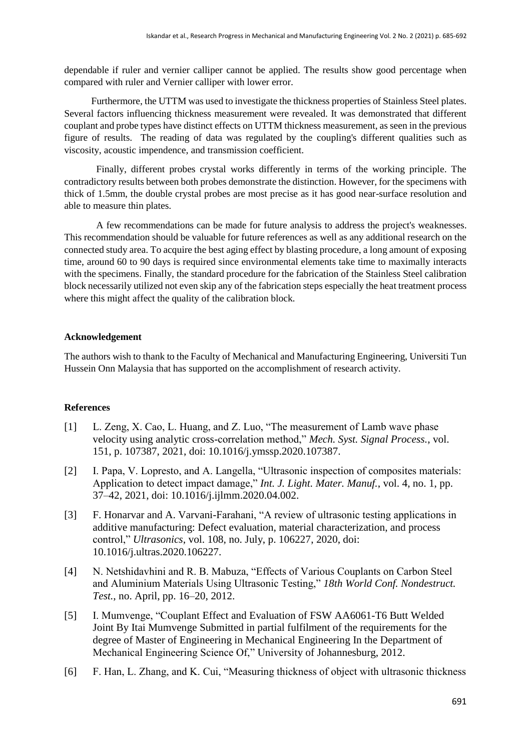dependable if ruler and vernier calliper cannot be applied. The results show good percentage when compared with ruler and Vernier calliper with lower error.

 Furthermore, the UTTM was used to investigate the thickness properties of Stainless Steel plates. Several factors influencing thickness measurement were revealed. It was demonstrated that different couplant and probe types have distinct effects on UTTM thickness measurement, as seen in the previous figure of results. The reading of data was regulated by the coupling's different qualities such as viscosity, acoustic impendence, and transmission coefficient.

Finally, different probes crystal works differently in terms of the working principle. The contradictory results between both probes demonstrate the distinction. However, for the specimens with thick of 1.5mm, the double crystal probes are most precise as it has good near-surface resolution and able to measure thin plates.

A few recommendations can be made for future analysis to address the project's weaknesses. This recommendation should be valuable for future references as well as any additional research on the connected study area. To acquire the best aging effect by blasting procedure, a long amount of exposing time, around 60 to 90 days is required since environmental elements take time to maximally interacts with the specimens. Finally, the standard procedure for the fabrication of the Stainless Steel calibration block necessarily utilized not even skip any of the fabrication steps especially the heat treatment process where this might affect the quality of the calibration block.

#### **Acknowledgement**

The authors wish to thank to the Faculty of Mechanical and Manufacturing Engineering, Universiti Tun Hussein Onn Malaysia that has supported on the accomplishment of research activity.

#### **References**

- [1] L. Zeng, X. Cao, L. Huang, and Z. Luo, "The measurement of Lamb wave phase velocity using analytic cross-correlation method," *Mech. Syst. Signal Process.*, vol. 151, p. 107387, 2021, doi: 10.1016/j.ymssp.2020.107387.
- [2] I. Papa, V. Lopresto, and A. Langella, "Ultrasonic inspection of composites materials: Application to detect impact damage," *Int. J. Light. Mater. Manuf.*, vol. 4, no. 1, pp. 37–42, 2021, doi: 10.1016/j.ijlmm.2020.04.002.
- [3] F. Honarvar and A. Varvani-Farahani, "A review of ultrasonic testing applications in additive manufacturing: Defect evaluation, material characterization, and process control," *Ultrasonics*, vol. 108, no. July, p. 106227, 2020, doi: 10.1016/j.ultras.2020.106227.
- [4] N. Netshidavhini and R. B. Mabuza, "Effects of Various Couplants on Carbon Steel and Aluminium Materials Using Ultrasonic Testing," *18th World Conf. Nondestruct. Test.*, no. April, pp. 16–20, 2012.
- [5] I. Mumvenge, "Couplant Effect and Evaluation of FSW AA6061-T6 Butt Welded Joint By Itai Mumvenge Submitted in partial fulfilment of the requirements for the degree of Master of Engineering in Mechanical Engineering In the Department of Mechanical Engineering Science Of," University of Johannesburg, 2012.
- [6] F. Han, L. Zhang, and K. Cui, "Measuring thickness of object with ultrasonic thickness